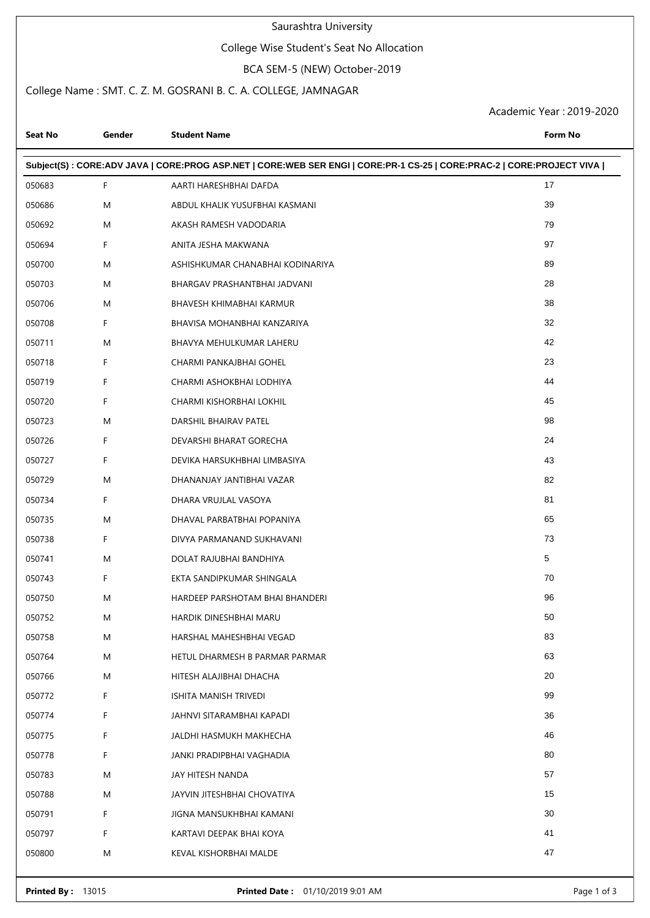#### Saurashtra University

### College Wise Student's Seat No Allocation

BCA SEM-5 (NEW) October-2019

### College Name : SMT. C. Z. M. GOSRANI B. C. A. COLLEGE, JAMNAGAR

Academic Year : 2019-2020

| Seat No                                                                                                               | Gender | <b>Student Name</b>              | <b>Form No</b> |  |  |  |  |
|-----------------------------------------------------------------------------------------------------------------------|--------|----------------------------------|----------------|--|--|--|--|
| Subject(S): CORE:ADV JAVA   CORE:PROG ASP.NET   CORE:WEB SER ENGI   CORE:PR-1 CS-25   CORE:PRAC-2   CORE:PROJECT VIVA |        |                                  |                |  |  |  |  |
| 050683                                                                                                                | F.     | AARTI HARESHBHAI DAFDA           | 17             |  |  |  |  |
| 050686                                                                                                                | M      | ABDUL KHALIK YUSUFBHAI KASMANI   | 39             |  |  |  |  |
| 050692                                                                                                                | M      | AKASH RAMESH VADODARIA           | 79             |  |  |  |  |
| 050694                                                                                                                | F      | ANITA JESHA MAKWANA              | 97             |  |  |  |  |
| 050700                                                                                                                | M      | ASHISHKUMAR CHANABHAI KODINARIYA | 89             |  |  |  |  |
| 050703                                                                                                                | M      | BHARGAV PRASHANTBHAI JADVANI     | 28             |  |  |  |  |
| 050706                                                                                                                | M      | BHAVESH KHIMABHAI KARMUR         | 38             |  |  |  |  |
| 050708                                                                                                                | F      | BHAVISA MOHANBHAI KANZARIYA      | 32             |  |  |  |  |
| 050711                                                                                                                | M      | BHAVYA MEHULKUMAR LAHERU         | 42             |  |  |  |  |
| 050718                                                                                                                | F      | CHARMI PANKAJBHAI GOHEL          | 23             |  |  |  |  |
| 050719                                                                                                                | F      | CHARMI ASHOKBHAI LODHIYA         | 44             |  |  |  |  |
| 050720                                                                                                                | F      | CHARMI KISHORBHAI LOKHIL         | 45             |  |  |  |  |
| 050723                                                                                                                | M      | DARSHIL BHAIRAV PATEL            | 98             |  |  |  |  |
| 050726                                                                                                                | F      | DEVARSHI BHARAT GORECHA          | 24             |  |  |  |  |
| 050727                                                                                                                | F      | DEVIKA HARSUKHBHAI LIMBASIYA     | 43             |  |  |  |  |
| 050729                                                                                                                | M      | DHANANJAY JANTIBHAI VAZAR        | 82             |  |  |  |  |
| 050734                                                                                                                | F      | DHARA VRUJLAL VASOYA             | 81             |  |  |  |  |
| 050735                                                                                                                | M      | DHAVAL PARBATBHAI POPANIYA       | 65             |  |  |  |  |
| 050738                                                                                                                | F      | DIVYA PARMANAND SUKHAVANI        | 73             |  |  |  |  |
| 050741                                                                                                                | M      | DOLAT RAJUBHAI BANDHIYA          | 5              |  |  |  |  |
| 050743                                                                                                                | F      | EKTA SANDIPKUMAR SHINGALA        | 70             |  |  |  |  |
| 050750                                                                                                                | M      | HARDEEP PARSHOTAM BHAI BHANDERI  | 96             |  |  |  |  |
| 050752                                                                                                                | M      | HARDIK DINESHBHAI MARU           | 50             |  |  |  |  |
| 050758                                                                                                                | M      | HARSHAL MAHESHBHAI VEGAD         | 83             |  |  |  |  |
| 050764                                                                                                                | M      | HETUL DHARMESH B PARMAR PARMAR   | 63             |  |  |  |  |
| 050766                                                                                                                | M      | HITESH ALAJIBHAI DHACHA          | 20             |  |  |  |  |
| 050772                                                                                                                | F.     | ISHITA MANISH TRIVEDI            | 99             |  |  |  |  |
| 050774                                                                                                                | F      | JAHNVI SITARAMBHAI KAPADI        | 36             |  |  |  |  |
| 050775                                                                                                                | F      | JALDHI HASMUKH MAKHECHA          | 46             |  |  |  |  |
| 050778                                                                                                                | F.     | JANKI PRADIPBHAI VAGHADIA        | 80             |  |  |  |  |
| 050783                                                                                                                | M      | JAY HITESH NANDA                 | 57             |  |  |  |  |
| 050788                                                                                                                | M      | JAYVIN JITESHBHAI CHOVATIYA      | 15             |  |  |  |  |
| 050791                                                                                                                | F      | JIGNA MANSUKHBHAI KAMANI         | 30             |  |  |  |  |
| 050797                                                                                                                | F.     | KARTAVI DEEPAK BHAI KOYA         | 41             |  |  |  |  |
| 050800                                                                                                                | M      | KEVAL KISHORBHAI MALDE           | 47             |  |  |  |  |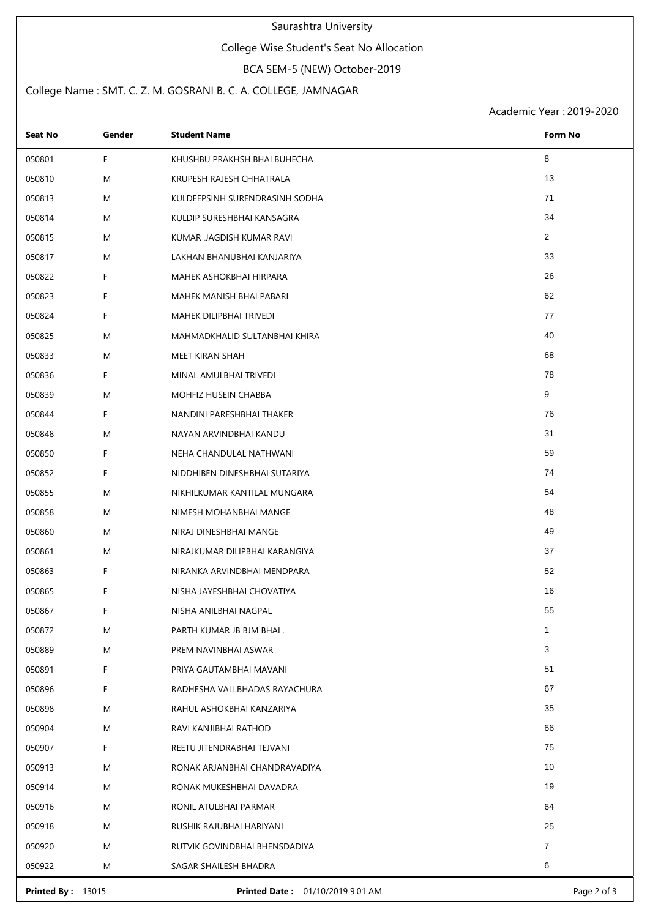#### Saurashtra University

### College Wise Student's Seat No Allocation

# BCA SEM-5 (NEW) October-2019

### College Name : SMT. C. Z. M. GOSRANI B. C. A. COLLEGE, JAMNAGAR

Academic Year : 2019-2020

| <b>Seat No</b> | Gender | <b>Student Name</b>            | Form No        |
|----------------|--------|--------------------------------|----------------|
| 050801         | F.     | KHUSHBU PRAKHSH BHAI BUHECHA   | 8              |
| 050810         | M      | KRUPESH RAJESH CHHATRALA       | 13             |
| 050813         | M      | KULDEEPSINH SURENDRASINH SODHA | 71             |
| 050814         | M      | KULDIP SURESHBHAI KANSAGRA     | 34             |
| 050815         | M      | KUMAR JAGDISH KUMAR RAVI       | $\overline{2}$ |
| 050817         | M      | LAKHAN BHANUBHAI KANJARIYA     | 33             |
| 050822         | F.     | MAHEK ASHOKBHAI HIRPARA        | 26             |
| 050823         | F.     | MAHEK MANISH BHAI PABARI       | 62             |
| 050824         | F.     | MAHEK DILIPBHAI TRIVEDI        | 77             |
| 050825         | M      | MAHMADKHALID SULTANBHAI KHIRA  | 40             |
| 050833         | M      | MEET KIRAN SHAH                | 68             |
| 050836         | F.     | MINAL AMULBHAI TRIVEDI         | 78             |
| 050839         | M      | MOHFIZ HUSEIN CHABBA           | 9              |
| 050844         | F.     | NANDINI PARESHBHAI THAKER      | 76             |
| 050848         | M      | NAYAN ARVINDBHAI KANDU         | 31             |
| 050850         | F.     | NEHA CHANDULAL NATHWANI        | 59             |
| 050852         | F      | NIDDHIBEN DINESHBHAI SUTARIYA  | 74             |
| 050855         | M      | NIKHILKUMAR KANTILAL MUNGARA   | 54             |
| 050858         | M      | NIMESH MOHANBHAI MANGE         | 48             |
| 050860         | M      | NIRAJ DINESHBHAI MANGE         | 49             |
| 050861         | M      | NIRAJKUMAR DILIPBHAI KARANGIYA | 37             |
| 050863         | F.     | NIRANKA ARVINDBHAI MENDPARA    | 52             |
| 050865         | F.     | NISHA JAYESHBHAI CHOVATIYA     | 16             |
| 050867         | F      | NISHA ANILBHAI NAGPAL          | 55             |
| 050872         | M      | PARTH KUMAR JB BJM BHAI.       | $\mathbf{1}$   |
| 050889         | M      | PREM NAVINBHAI ASWAR           | 3              |
| 050891         | F.     | PRIYA GAUTAMBHAI MAVANI        | 51             |
| 050896         | F.     | RADHESHA VALLBHADAS RAYACHURA  | 67             |
| 050898         | M      | RAHUL ASHOKBHAI KANZARIYA      | 35             |
| 050904         | M      | RAVI KANJIBHAI RATHOD          | 66             |
| 050907         | F      | REETU JITENDRABHAI TEJVANI     | 75             |
| 050913         | M      | RONAK ARJANBHAI CHANDRAVADIYA  | 10             |
| 050914         | M      | RONAK MUKESHBHAI DAVADRA       | 19             |
| 050916         | M      | RONIL ATULBHAI PARMAR          | 64             |
| 050918         | M      | RUSHIK RAJUBHAI HARIYANI       | 25             |
| 050920         | M      | RUTVIK GOVINDBHAI BHENSDADIYA  | $\overline{7}$ |
| 050922         | M      | SAGAR SHAILESH BHADRA          | 6              |

**Printed By :** 13015 **Printed Date :** 01/10/2019 9:01 AM **Printed By :** 13015 Page 2 of 3